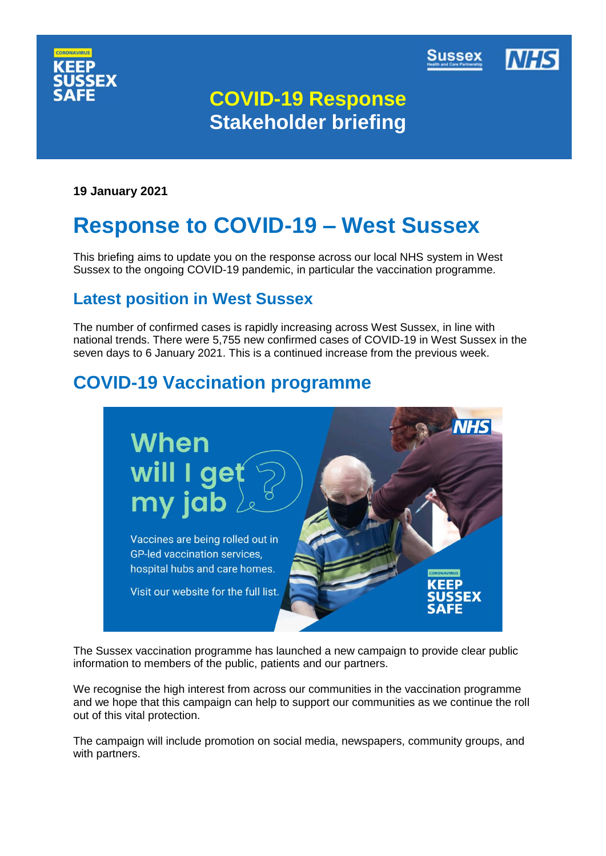



# **COVID-19 Response Stakeholder briefing**

**19 January 2021**

# **Response to COVID-19 – West Sussex**

This briefing aims to update you on the response across our local NHS system in West Sussex to the ongoing COVID-19 pandemic, in particular the vaccination programme.

# **Latest position in West Sussex**

The number of confirmed cases is rapidly increasing across West Sussex, in line with national trends. There were 5,755 new confirmed cases of COVID-19 in West Sussex in the seven days to 6 January 2021. This is a continued increase from the previous week.

# **COVID-19 Vaccination programme**



The Sussex vaccination programme has launched a new campaign to provide clear public information to members of the public, patients and our partners.

We recognise the high interest from across our communities in the vaccination programme and we hope that this campaign can help to support our communities as we continue the roll out of this vital protection.

The campaign will include promotion on social media, newspapers, community groups, and with partners.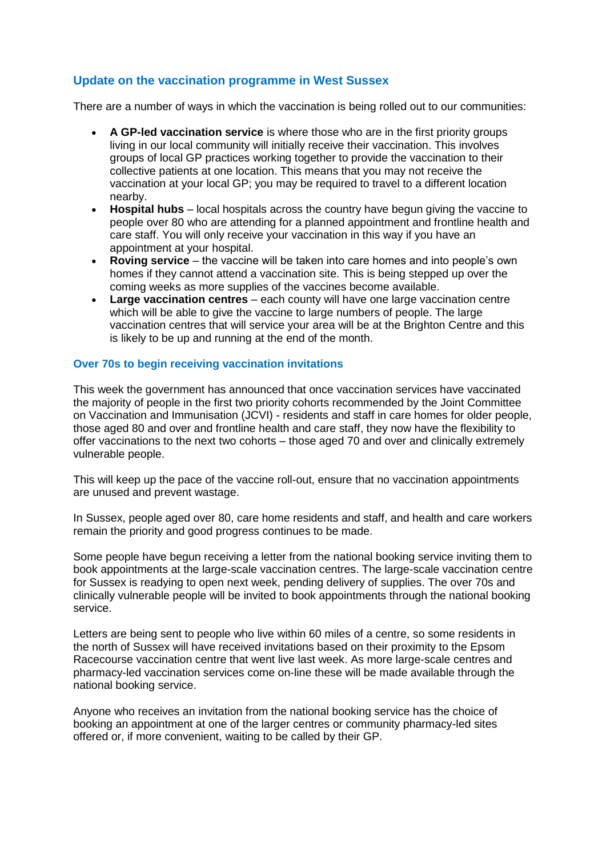# **Update on the vaccination programme in West Sussex**

There are a number of ways in which the vaccination is being rolled out to our communities:

- **A GP-led vaccination service** is where those who are in the first priority groups living in our local community will initially receive their vaccination. This involves groups of local GP practices working together to provide the vaccination to their collective patients at one location. This means that you may not receive the vaccination at your local GP; you may be required to travel to a different location nearby.
- **Hospital hubs**  local hospitals across the country have begun giving the vaccine to people over 80 who are attending for a planned appointment and frontline health and care staff. You will only receive your vaccination in this way if you have an appointment at your hospital.
- **Roving service**  the vaccine will be taken into care homes and into people's own homes if they cannot attend a vaccination site. This is being stepped up over the coming weeks as more supplies of the vaccines become available.
- **Large vaccination centres**  each county will have one large vaccination centre which will be able to give the vaccine to large numbers of people. The large vaccination centres that will service your area will be at the Brighton Centre and this is likely to be up and running at the end of the month.

# **Over 70s to begin receiving vaccination invitations**

This week the government has announced that once vaccination services have vaccinated the majority of people in the first two priority cohorts recommended by the Joint Committee on Vaccination and Immunisation (JCVI) - residents and staff in care homes for older people, those aged 80 and over and frontline health and care staff, they now have the flexibility to offer vaccinations to the next two cohorts – those aged 70 and over and clinically extremely vulnerable people.

This will keep up the pace of the vaccine roll-out, ensure that no vaccination appointments are unused and prevent wastage.

In Sussex, people aged over 80, care home residents and staff, and health and care workers remain the priority and good progress continues to be made.

Some people have begun receiving a letter from the national booking service inviting them to book appointments at the large-scale vaccination centres. The large-scale vaccination centre for Sussex is readying to open next week, pending delivery of supplies. The over 70s and clinically vulnerable people will be invited to book appointments through the national booking service.

Letters are being sent to people who live within 60 miles of a centre, so some residents in the north of Sussex will have received invitations based on their proximity to the Epsom Racecourse vaccination centre that went live last week. As more large-scale centres and pharmacy-led vaccination services come on-line these will be made available through the national booking service.

Anyone who receives an invitation from the national booking service has the choice of booking an appointment at one of the larger centres or community pharmacy-led sites offered or, if more convenient, waiting to be called by their GP.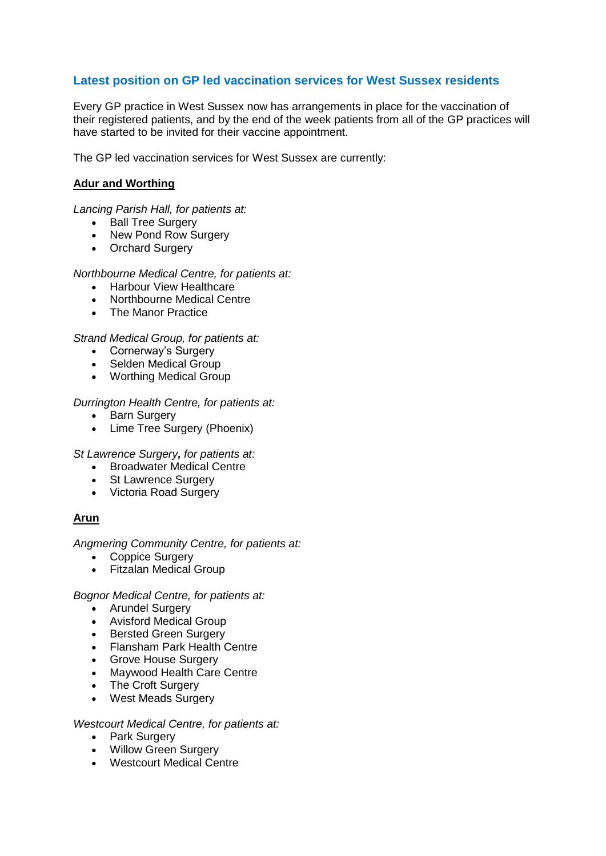# **Latest position on GP led vaccination services for West Sussex residents**

Every GP practice in West Sussex now has arrangements in place for the vaccination of their registered patients, and by the end of the week patients from all of the GP practices will have started to be invited for their vaccine appointment.

The GP led vaccination services for West Sussex are currently:

## **Adur and Worthing**

*Lancing Parish Hall, for patients at:*

- Ball Tree Surgery
- New Pond Row Surgery
- Orchard Surgery

#### *Northbourne Medical Centre, for patients at:*

- Harbour View Healthcare
- Northbourne Medical Centre
- The Manor Practice

#### *Strand Medical Group, for patients at:*

- Cornerway's Surgery
- Selden Medical Group
- Worthing Medical Group

#### *Durrington Health Centre, for patients at:*

- Barn Surgery
- Lime Tree Surgery (Phoenix)

*St Lawrence Surgery, for patients at:*

- Broadwater Medical Centre
- St Lawrence Surgery
- Victoria Road Surgery

#### **Arun**

#### *Angmering Community Centre, for patients at:*

- Coppice Surgery
- Fitzalan Medical Group

#### *Bognor Medical Centre, for patients at:*

- Arundel Surgery
- Avisford Medical Group
- Bersted Green Surgery
- Flansham Park Health Centre
- Grove House Surgery
- Maywood Health Care Centre
- The Croft Surgery
- West Meads Surgery

#### *Westcourt Medical Centre, for patients at:*

- Park Surgery
- Willow Green Surgery
- Westcourt Medical Centre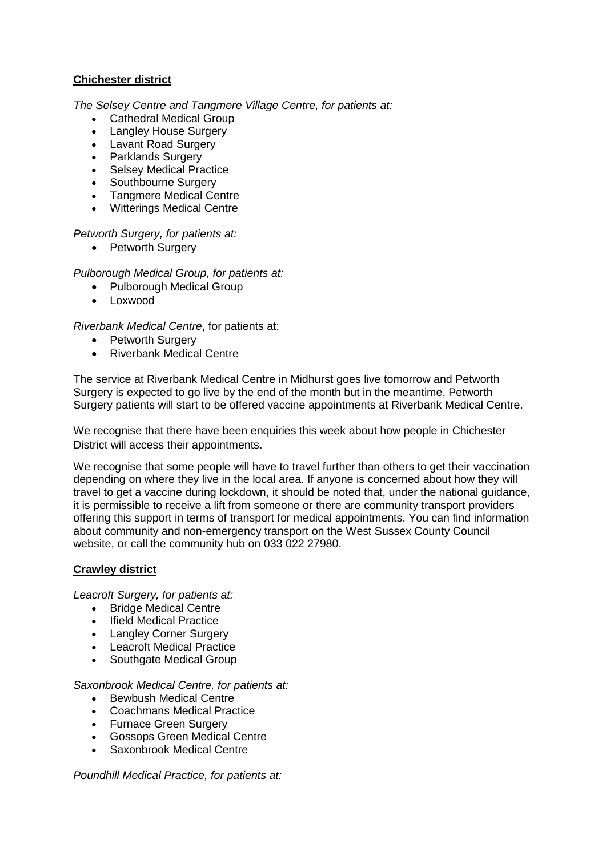# **Chichester district**

*The Selsey Centre and Tangmere Village Centre, for patients at:*

- Cathedral Medical Group
- Langley House Surgery
- Lavant Road Surgery
- Parklands Surgery
- Selsey Medical Practice
- Southbourne Surgery
- Tangmere Medical Centre
- Witterings Medical Centre

# *Petworth Surgery, for patients at:*

• Petworth Surgery

# *Pulborough Medical Group, for patients at:*

- Pulborough Medical Group
- Loxwood

# *Riverbank Medical Centre*, for patients at:

- Petworth Surgery
- Riverbank Medical Centre

The service at Riverbank Medical Centre in Midhurst goes live tomorrow and Petworth Surgery is expected to go live by the end of the month but in the meantime, Petworth Surgery patients will start to be offered vaccine appointments at Riverbank Medical Centre.

We recognise that there have been enquiries this week about how people in Chichester District will access their appointments.

We recognise that some people will have to travel further than others to get their vaccination depending on where they live in the local area. If anyone is concerned about how they will travel to get a vaccine during lockdown, it should be noted that, under the national guidance, it is permissible to receive a lift from someone or there are community transport providers offering this support in terms of transport for medical appointments. You can find information about community and non-emergency transport on the West Sussex County Council website, or call the community hub on 033 022 27980.

# **Crawley district**

*Leacroft Surgery, for patients at:*

- Bridge Medical Centre
- Ifield Medical Practice
- Langley Corner Surgery
- Leacroft Medical Practice
- Southgate Medical Group

*Saxonbrook Medical Centre, for patients at:*

- Bewbush Medical Centre
- Coachmans Medical Practice
- Furnace Green Surgery
- Gossops Green Medical Centre
- Saxonbrook Medical Centre

*Poundhill Medical Practice, for patients at:*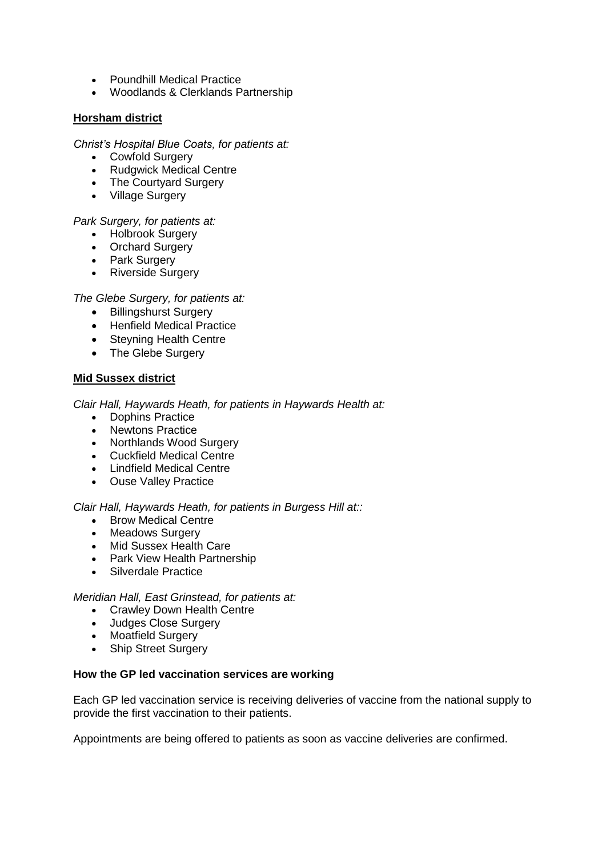- Poundhill Medical Practice
- Woodlands & Clerklands Partnership

# **Horsham district**

## *Christ's Hospital Blue Coats, for patients at:*

- Cowfold Surgery
- Rudgwick Medical Centre
- The Courtyard Surgery
- Village Surgery

# *Park Surgery, for patients at:*

- Holbrook Surgery
- Orchard Surgery
- Park Surgery
- Riverside Surgery

# *The Glebe Surgery, for patients at:*

- Billingshurst Surgery
- Henfield Medical Practice
- Steyning Health Centre
- The Glebe Surgery

# **Mid Sussex district**

*Clair Hall, Haywards Heath, for patients in Haywards Health at:*

- Dophins Practice
- Newtons Practice
- Northlands Wood Surgery
- Cuckfield Medical Centre
- Lindfield Medical Centre
- Ouse Valley Practice

#### *Clair Hall, Haywards Heath, for patients in Burgess Hill at::*

- Brow Medical Centre
- Meadows Surgery
- Mid Sussex Health Care
- Park View Health Partnership
- Silverdale Practice

## *Meridian Hall, East Grinstead, for patients at:*

- Crawley Down Health Centre
- Judges Close Surgery
- Moatfield Surgery
- Ship Street Surgery

#### **How the GP led vaccination services are working**

Each GP led vaccination service is receiving deliveries of vaccine from the national supply to provide the first vaccination to their patients.

Appointments are being offered to patients as soon as vaccine deliveries are confirmed.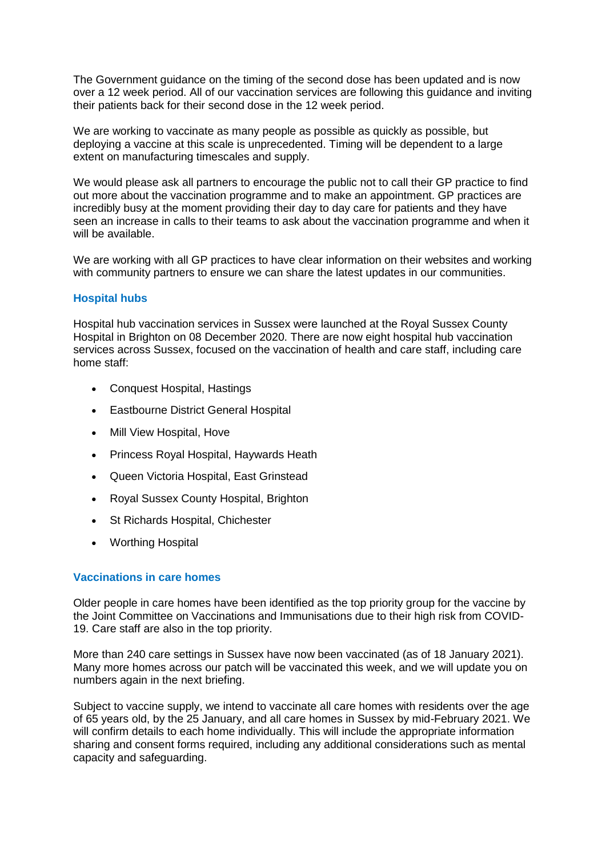The Government guidance on the timing of the second dose has been updated and is now over a 12 week period. All of our vaccination services are following this guidance and inviting their patients back for their second dose in the 12 week period.

We are working to vaccinate as many people as possible as quickly as possible, but deploying a vaccine at this scale is unprecedented. Timing will be dependent to a large extent on manufacturing timescales and supply.

We would please ask all partners to encourage the public not to call their GP practice to find out more about the vaccination programme and to make an appointment. GP practices are incredibly busy at the moment providing their day to day care for patients and they have seen an increase in calls to their teams to ask about the vaccination programme and when it will be available.

We are working with all GP practices to have clear information on their websites and working with community partners to ensure we can share the latest updates in our communities.

# **Hospital hubs**

Hospital hub vaccination services in Sussex were launched at the Royal Sussex County Hospital in Brighton on 08 December 2020. There are now eight hospital hub vaccination services across Sussex, focused on the vaccination of health and care staff, including care home staff:

- [Conquest Hospital,](https://www.esht.nhs.uk/conquest-hospital/) Hastings
- [Eastbourne District General Hospital](https://www.esht.nhs.uk/eastbourne-dgh/)
- [Mill View Hospital,](https://www.sussexpartnership.nhs.uk/location-mill-view-hospital) Hove
- [Princess Royal Hospital,](https://www.bsuh.nhs.uk/hospitals/princess-royal-hospital/) Haywards Heath
- [Queen Victoria Hospital,](https://www.qvh.nhs.uk/) East Grinstead
- [Royal Sussex County Hospital,](http://www.bsuh.nhs.uk/hospitals/royal-sussex-county-hospital/) Brighton
- [St Richards Hospital,](https://www.westernsussexhospitals.nhs.uk/our-hospitals/st-richards-hospital/) Chichester
- [Worthing Hospital](https://www.westernsussexhospitals.nhs.uk/)

# **Vaccinations in care homes**

Older people in care homes have been identified as the top priority group for the vaccine by the Joint Committee on Vaccinations and Immunisations due to their high risk from COVID-19. Care staff are also in the top priority.

More than 240 care settings in Sussex have now been vaccinated (as of 18 January 2021). Many more homes across our patch will be vaccinated this week, and we will update you on numbers again in the next briefing.

Subject to vaccine supply, we intend to vaccinate all care homes with residents over the age of 65 years old, by the 25 January, and all care homes in Sussex by mid-February 2021. We will confirm details to each home individually. This will include the appropriate information sharing and consent forms required, including any additional considerations such as mental capacity and safeguarding.